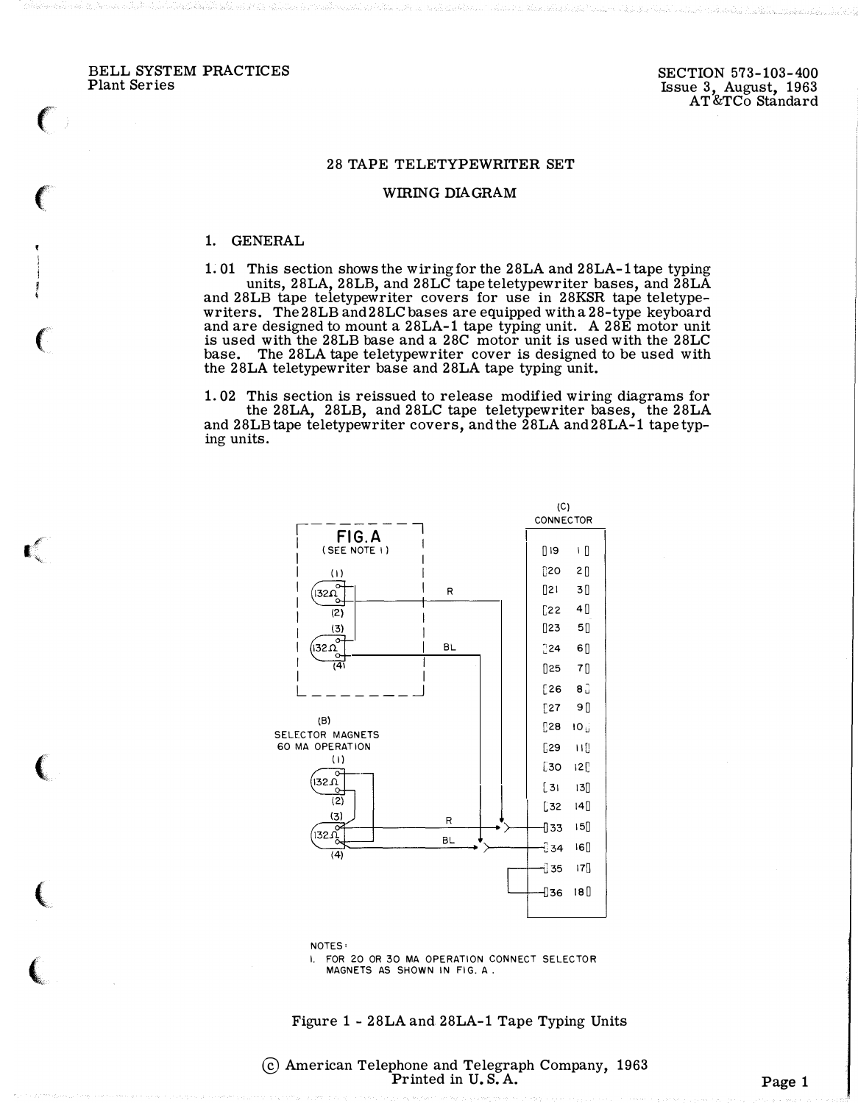BELL SYSTEM PRACTICES Plant Series

 $\epsilon$ 

 $\big($ 

 $\big($ 

I #�

(

 $\overline{\mathbb{C}}$ 

 $\big($ 

## 28 TAPE TELETYPEWRITER SET

## WIRING DIAGRAM

## 1. GENERAL

1. 01 This section shows the wiring for the 28LA and 28LA-1 tape typing units, 28LA, 28LB, and 28LC tape teletypewriter bases, and 28LA and 28LB tape teletypewriter covers for use in 28KSR tape teletypewriters. The 28LB and28LC bases are equipped with a 28-type keyboard and are designed to mount a 28LA-1 tape typing unit. A 28E motor unit is used with the 28LB base and a 28C motor unit is used with the 28LC base. The 28LA tape teletypewriter cover is designed to be used with the 28LA teletypewriter base and 28LA tape typing unit.

1. 02 This section is reissued to release modified wiring diagrams for the 28LA, 28LB, and 28LC tape teletypewriter bases, the 28LA and 28LB tape teletypewriter covers, and the 28LA and28LA-1 tape typing units.



MAGNETS AS SHOWN IN FIG. A.

## Figure 1 - 28LA and 28LA-1 Tape Typing Units

@ American Telephone and Telegraph Company, 1963 Printed in  $U.S.A.$  Page 1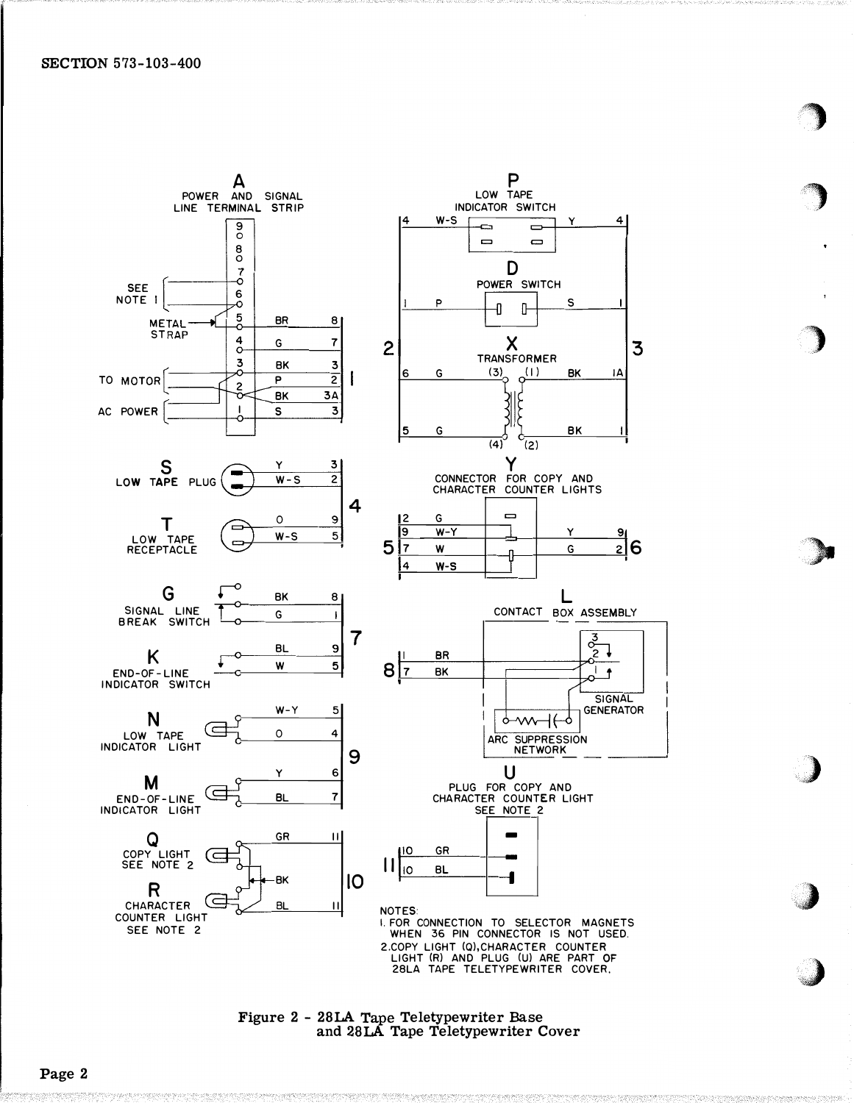



/)

 $-$  . The same contract of  $\mathcal{L}$ 

**John Street, Contract of the Contract of the Contract of the Contract of the Contract of the Contract of the Contract of the Contract of the Contract of the Contract of the Contract of the Contract of the Contract of the** 

Figure 2 - 28LA Tape Teletypewriter Base and 28LA Tape Teletypewriter Cover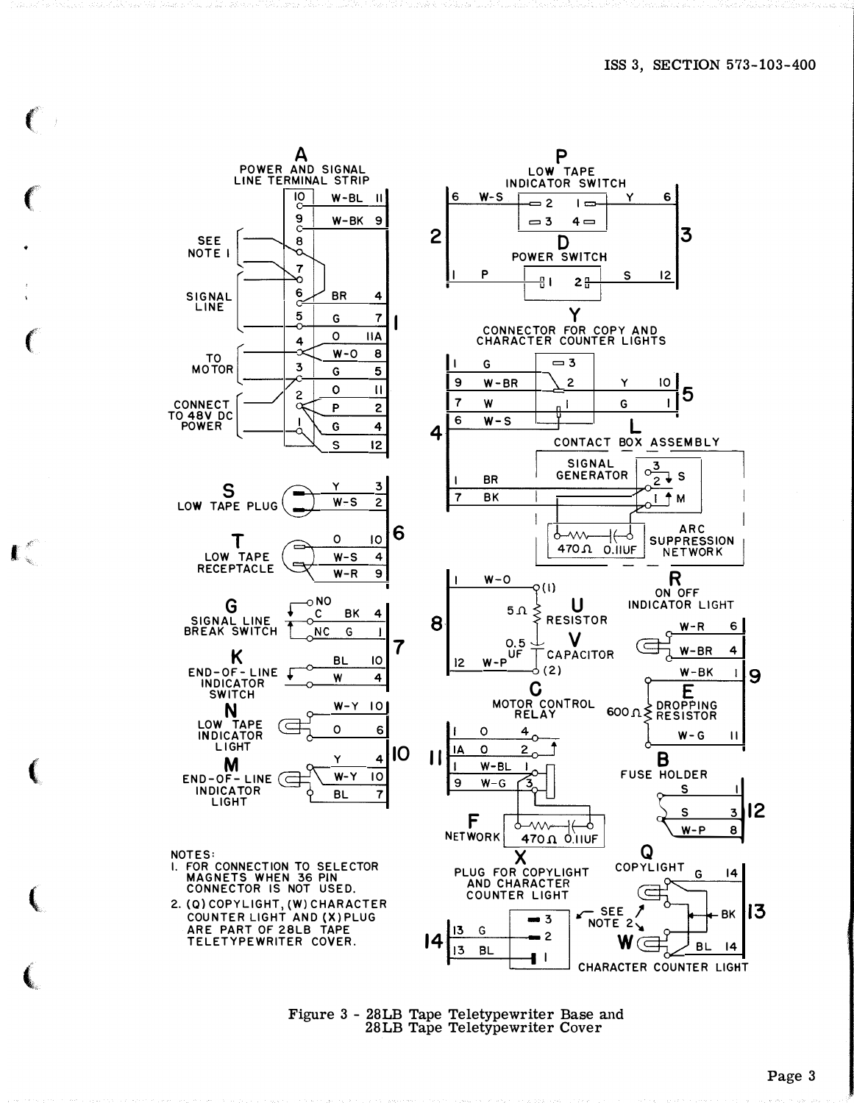

 $\blacksquare$ 

Figure 3 - 28LB Tape Teletypewriter Base and<br>28LB Tape Teletypewriter Cover